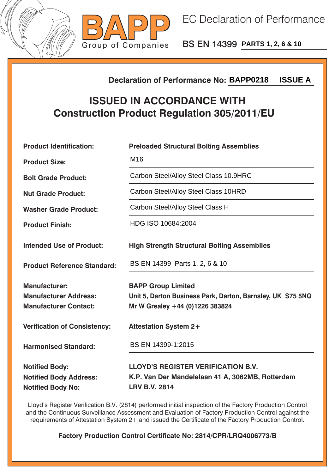



BS EN 14399 **PARTS 1, 2, 6 & 10**

## **Declaration of Performance No:**

## **ISSUED IN ACCORDANCE WITH Construction Product Regulation 305/2011/EU**

|                                                                                        | <b>ISSUE A</b><br><b>Declaration of Performance No: BAPP0218</b>                                                           |  |  |
|----------------------------------------------------------------------------------------|----------------------------------------------------------------------------------------------------------------------------|--|--|
| <b>ISSUED IN ACCORDANCE WITH</b><br><b>Construction Product Regulation 305/2011/EU</b> |                                                                                                                            |  |  |
| <b>Product Identification:</b>                                                         | <b>Preloaded Structural Bolting Assemblies</b>                                                                             |  |  |
| <b>Product Size:</b>                                                                   | M <sub>16</sub>                                                                                                            |  |  |
| <b>Bolt Grade Product:</b>                                                             | Carbon Steel/Alloy Steel Class 10.9HRC                                                                                     |  |  |
| <b>Nut Grade Product:</b>                                                              | Carbon Steel/Alloy Steel Class 10HRD                                                                                       |  |  |
| <b>Washer Grade Product:</b>                                                           | Carbon Steel/Alloy Steel Class H                                                                                           |  |  |
| <b>Product Finish:</b>                                                                 | HDG ISO 10684:2004                                                                                                         |  |  |
| <b>Intended Use of Product:</b>                                                        | <b>High Strength Structural Bolting Assemblies</b>                                                                         |  |  |
| <b>Product Reference Standard:</b>                                                     | BS EN 14399 Parts 1, 2, 6 & 10                                                                                             |  |  |
| <b>Manufacturer:</b><br><b>Manufacturer Address:</b><br><b>Manufacturer Contact:</b>   | <b>BAPP Group Limited</b><br>Unit 5, Darton Business Park, Darton, Barnsley, UK S75 5NQ<br>Mr W Grealey +44 (0)1226 383824 |  |  |
| <b>Verification of Consistency:</b>                                                    | <b>Attestation System 2+</b>                                                                                               |  |  |
| <b>Harmonised Standard:</b>                                                            | BS EN 14399-1:2015                                                                                                         |  |  |
| <b>Notified Body:</b><br><b>Notified Body Address:</b><br><b>Notified Body No:</b>     | <b>LLOYD'S REGISTER VERIFICATION B.V.</b><br>K.P. Van Der Mandelelaan 41 A, 3062MB, Rotterdam<br><b>LRV B.V. 2814</b>      |  |  |

Lloyd's Register Verification B.V. (2814) performed initial inspection of the Factory Production Control and the Continuous Surveillance Assessment and Evaluation of Factory Production Control against the requirements of Attestation System 2+ and issued the Certificate of the Factory Production Control.

**Factory Production Control Certificate No: 2814/CPR/LRQ4006773/B**